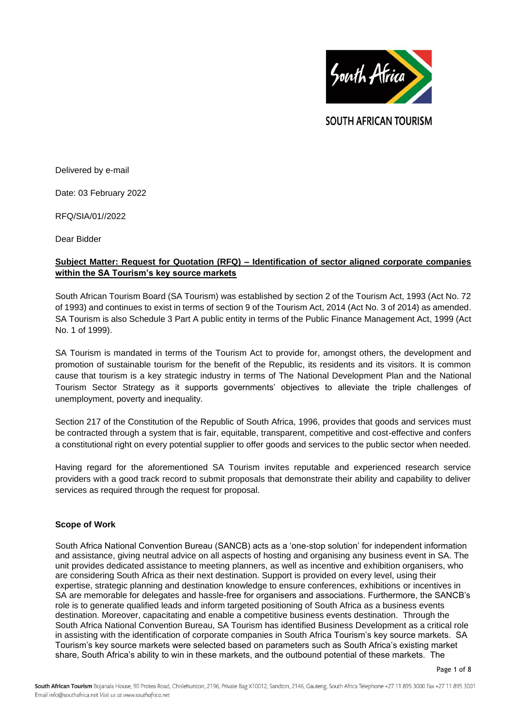

**SOUTH AFRICAN TOURISM** 

Delivered by e-mail

Date: 03 February 2022

RFQ/SIA/01//2022

Dear Bidder

# **Subject Matter: Request for Quotation (RFQ) – Identification of sector aligned corporate companies within the SA Tourism's key source markets**

South African Tourism Board (SA Tourism) was established by section 2 of the Tourism Act, 1993 (Act No. 72 of 1993) and continues to exist in terms of section 9 of the Tourism Act, 2014 (Act No. 3 of 2014) as amended. SA Tourism is also Schedule 3 Part A public entity in terms of the Public Finance Management Act, 1999 (Act No. 1 of 1999).

SA Tourism is mandated in terms of the Tourism Act to provide for, amongst others, the development and promotion of sustainable tourism for the benefit of the Republic, its residents and its visitors. It is common cause that tourism is a key strategic industry in terms of The National Development Plan and the National Tourism Sector Strategy as it supports governments' objectives to alleviate the triple challenges of unemployment, poverty and inequality.

Section 217 of the Constitution of the Republic of South Africa, 1996, provides that goods and services must be contracted through a system that is fair, equitable, transparent, competitive and cost-effective and confers a constitutional right on every potential supplier to offer goods and services to the public sector when needed.

Having regard for the aforementioned SA Tourism invites reputable and experienced research service providers with a good track record to submit proposals that demonstrate their ability and capability to deliver services as required through the request for proposal.

### **Scope of Work**

South Africa National Convention Bureau (SANCB) acts as a 'one-stop solution' for independent information and assistance, giving neutral advice on all aspects of hosting and organising any business event in SA. The unit provides dedicated assistance to meeting planners, as well as incentive and exhibition organisers, who are considering South Africa as their next destination. Support is provided on every level, using their expertise, strategic planning and destination knowledge to ensure conferences, exhibitions or incentives in SA are memorable for delegates and hassle-free for organisers and associations. Furthermore, the SANCB's role is to generate qualified leads and inform targeted positioning of South Africa as a business events destination. Moreover, capacitating and enable a competitive business events destination. Through the South Africa National Convention Bureau, SA Tourism has identified Business Development as a critical role in assisting with the identification of corporate companies in South Africa Tourism's key source markets. SA Tourism's key source markets were selected based on parameters such as South Africa's existing market share, South Africa's ability to win in these markets, and the outbound potential of these markets. The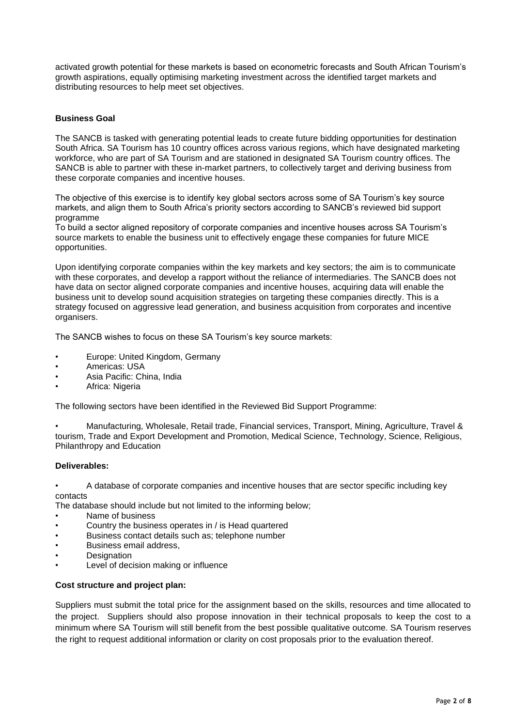activated growth potential for these markets is based on econometric forecasts and South African Tourism's growth aspirations, equally optimising marketing investment across the identified target markets and distributing resources to help meet set objectives.

## **Business Goal**

The SANCB is tasked with generating potential leads to create future bidding opportunities for destination South Africa. SA Tourism has 10 country offices across various regions, which have designated marketing workforce, who are part of SA Tourism and are stationed in designated SA Tourism country offices. The SANCB is able to partner with these in-market partners, to collectively target and deriving business from these corporate companies and incentive houses.

The objective of this exercise is to identify key global sectors across some of SA Tourism's key source markets, and align them to South Africa's priority sectors according to SANCB's reviewed bid support programme

To build a sector aligned repository of corporate companies and incentive houses across SA Tourism's source markets to enable the business unit to effectively engage these companies for future MICE opportunities.

Upon identifying corporate companies within the key markets and key sectors; the aim is to communicate with these corporates, and develop a rapport without the reliance of intermediaries. The SANCB does not have data on sector aligned corporate companies and incentive houses, acquiring data will enable the business unit to develop sound acquisition strategies on targeting these companies directly. This is a strategy focused on aggressive lead generation, and business acquisition from corporates and incentive organisers.

The SANCB wishes to focus on these SA Tourism's key source markets:

- Europe: United Kingdom, Germany
- Americas: USA
- Asia Pacific: China, India
- Africa: Nigeria

The following sectors have been identified in the Reviewed Bid Support Programme:

• Manufacturing, Wholesale, Retail trade, Financial services, Transport, Mining, Agriculture, Travel & tourism, Trade and Export Development and Promotion, Medical Science, Technology, Science, Religious, Philanthropy and Education

#### **Deliverables:**

• A database of corporate companies and incentive houses that are sector specific including key contacts

The database should include but not limited to the informing below;

- Name of business
- Country the business operates in / is Head quartered
- Business contact details such as; telephone number
- Business email address,
- **Designation**
- Level of decision making or influence

### **Cost structure and project plan:**

Suppliers must submit the total price for the assignment based on the skills, resources and time allocated to the project. Suppliers should also propose innovation in their technical proposals to keep the cost to a minimum where SA Tourism will still benefit from the best possible qualitative outcome. SA Tourism reserves the right to request additional information or clarity on cost proposals prior to the evaluation thereof.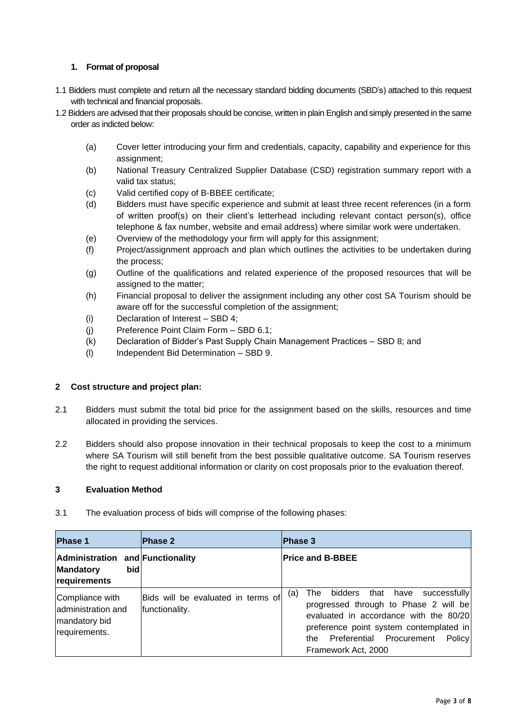# **1. Format of proposal**

- 1.1 Bidders must complete and return all the necessary standard bidding documents (SBD's) attached to this request with technical and financial proposals.
- 1.2 Bidders are advised that their proposals should be concise, written in plain English and simply presented in the same order as indicted below:
	- (a) Cover letter introducing your firm and credentials, capacity, capability and experience for this assignment;
	- (b) National Treasury Centralized Supplier Database (CSD) registration summary report with a valid tax status;
	- (c) Valid certified copy of B-BBEE certificate;
	- (d) Bidders must have specific experience and submit at least three recent references (in a form of written proof(s) on their client's letterhead including relevant contact person(s), office telephone & fax number, website and email address) where similar work were undertaken.
	- (e) Overview of the methodology your firm will apply for this assignment;
	- (f) Project/assignment approach and plan which outlines the activities to be undertaken during the process;
	- (g) Outline of the qualifications and related experience of the proposed resources that will be assigned to the matter;
	- (h) Financial proposal to deliver the assignment including any other cost SA Tourism should be aware off for the successful completion of the assignment;
	- (i) Declaration of Interest SBD 4;
	- (j) Preference Point Claim Form SBD 6.1;
	- (k) Declaration of Bidder's Past Supply Chain Management Practices SBD 8; and
	- (l) Independent Bid Determination SBD 9.

### **2 Cost structure and project plan:**

- 2.1 Bidders must submit the total bid price for the assignment based on the skills, resources and time allocated in providing the services.
- 2.2 Bidders should also propose innovation in their technical proposals to keep the cost to a minimum where SA Tourism will still benefit from the best possible qualitative outcome. SA Tourism reserves the right to request additional information or clarity on cost proposals prior to the evaluation thereof.

### **3 Evaluation Method**

3.1 The evaluation process of bids will comprise of the following phases:

| <b>Phase 1</b>                                                               | <b>Phase 2</b>                                       | <b>Phase 3</b>                                                                                                                                                                                                                                 |
|------------------------------------------------------------------------------|------------------------------------------------------|------------------------------------------------------------------------------------------------------------------------------------------------------------------------------------------------------------------------------------------------|
| Administration and Functionality<br>bidl<br><b>Mandatory</b><br>requirements |                                                      | <b>Price and B-BBEE</b>                                                                                                                                                                                                                        |
| Compliance with<br>administration and<br>mandatory bid<br>requirements.      | Bids will be evaluated in terms of<br>functionality. | that have successfully<br>bidders<br>The<br>(a)<br>progressed through to Phase 2 will be<br>evaluated in accordance with the 80/20<br>preference point system contemplated in<br>the Preferential Procurement<br>Policy<br>Framework Act, 2000 |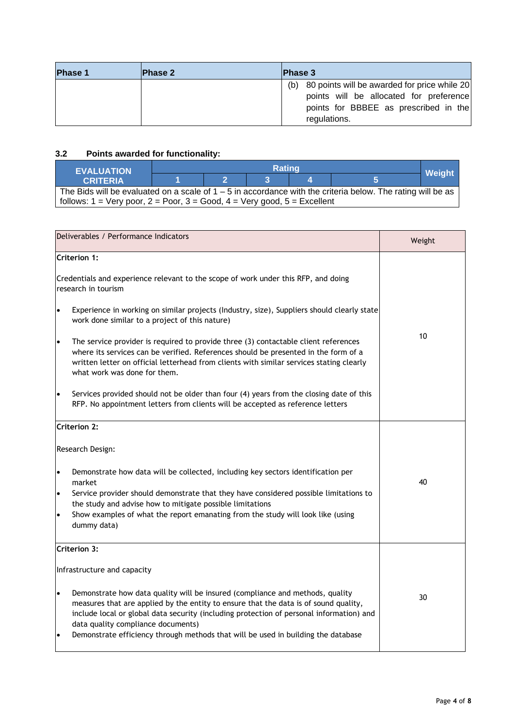| <b>Phase 1</b> | <b>Phase 2</b> | <b>Phase 3</b>                                      |
|----------------|----------------|-----------------------------------------------------|
|                |                | 80 points will be awarded for price while 20<br>(b) |
|                |                | points will be allocated for preference             |
|                |                | points for BBBEE as prescribed in the               |
|                |                | regulations.                                        |

# **3.2 Points awarded for functionality:**

| <b>EVALUATION</b>                                                                                             | <b>Rating</b> |  |  |  |  | Weight |
|---------------------------------------------------------------------------------------------------------------|---------------|--|--|--|--|--------|
| <b>CRITERIA</b>                                                                                               |               |  |  |  |  |        |
| The Bids will be evaluated on a scale of $1 - 5$ in accordance with the criteria below. The rating will be as |               |  |  |  |  |        |
| follows: $1 = \text{Very poor}, 2 = \text{Poor}, 3 = \text{Good}, 4 = \text{Very good}, 5 = \text{Excellent}$ |               |  |  |  |  |        |

| Deliverables / Performance Indicators                                                                                                                                                                                                                                                                                                                                                                                  | Weight |  |
|------------------------------------------------------------------------------------------------------------------------------------------------------------------------------------------------------------------------------------------------------------------------------------------------------------------------------------------------------------------------------------------------------------------------|--------|--|
| <b>Criterion 1:</b>                                                                                                                                                                                                                                                                                                                                                                                                    |        |  |
| Credentials and experience relevant to the scope of work under this RFP, and doing<br>research in tourism                                                                                                                                                                                                                                                                                                              |        |  |
| Experience in working on similar projects (Industry, size), Suppliers should clearly state<br>$\bullet$<br>work done similar to a project of this nature)                                                                                                                                                                                                                                                              |        |  |
| 10<br>The service provider is required to provide three (3) contactable client references<br>$\bullet$<br>where its services can be verified. References should be presented in the form of a<br>written letter on official letterhead from clients with similar services stating clearly<br>what work was done for them.                                                                                              |        |  |
| Services provided should not be older than four (4) years from the closing date of this<br>$\bullet$<br>RFP. No appointment letters from clients will be accepted as reference letters                                                                                                                                                                                                                                 |        |  |
| <b>Criterion 2:</b>                                                                                                                                                                                                                                                                                                                                                                                                    |        |  |
| Research Design:                                                                                                                                                                                                                                                                                                                                                                                                       |        |  |
| Demonstrate how data will be collected, including key sectors identification per<br>$\bullet$<br>market                                                                                                                                                                                                                                                                                                                | 40     |  |
| Service provider should demonstrate that they have considered possible limitations to<br>$\bullet$<br>the study and advise how to mitigate possible limitations                                                                                                                                                                                                                                                        |        |  |
| Show examples of what the report emanating from the study will look like (using<br>$\bullet$<br>dummy data)                                                                                                                                                                                                                                                                                                            |        |  |
| Criterion 3:                                                                                                                                                                                                                                                                                                                                                                                                           |        |  |
| Infrastructure and capacity                                                                                                                                                                                                                                                                                                                                                                                            |        |  |
| Demonstrate how data quality will be insured (compliance and methods, quality<br>$\bullet$<br>measures that are applied by the entity to ensure that the data is of sound quality,<br>include local or global data security (including protection of personal information) and<br>data quality compliance documents)<br>Demonstrate efficiency through methods that will be used in building the database<br>$\bullet$ | 30     |  |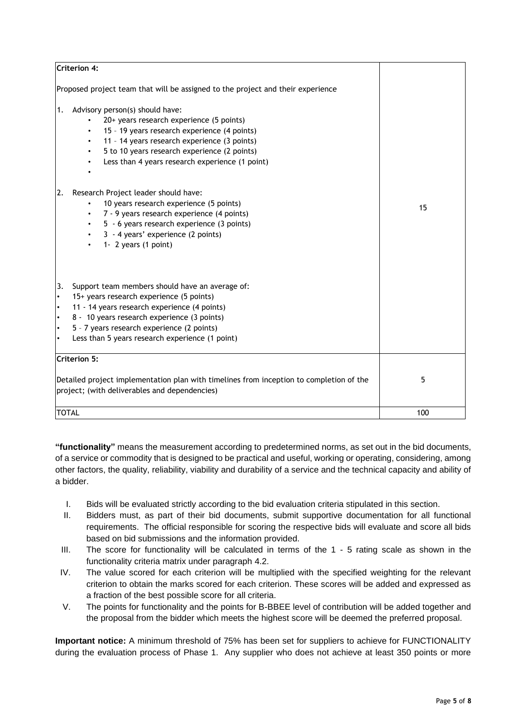| <b>Criterion 4:</b>                                                                                                                                                                                                                                                                                                                                   |     |
|-------------------------------------------------------------------------------------------------------------------------------------------------------------------------------------------------------------------------------------------------------------------------------------------------------------------------------------------------------|-----|
| Proposed project team that will be assigned to the project and their experience                                                                                                                                                                                                                                                                       |     |
| Advisory person(s) should have:<br>1.<br>20+ years research experience (5 points)<br>$\bullet$<br>15 - 19 years research experience (4 points)<br>$\bullet$<br>11 - 14 years research experience (3 points)<br>5 to 10 years research experience (2 points)<br>Less than 4 years research experience (1 point)                                        |     |
| Research Project leader should have:<br>2.<br>10 years research experience (5 points)<br>7 - 9 years research experience (4 points)<br>$\bullet$<br>5 - 6 years research experience (3 points)<br>$\bullet$<br>3 - 4 years' experience (2 points)<br>1- 2 years (1 point)<br>$\bullet$                                                                | 15  |
| 3.<br>Support team members should have an average of:<br>15+ years research experience (5 points)<br>$\bullet$<br>11 - 14 years research experience (4 points)<br>$\bullet$<br>8 - 10 years research experience (3 points)<br>$\bullet$<br>5 - 7 years research experience (2 points)<br>$\bullet$<br>Less than 5 years research experience (1 point) |     |
| Criterion 5:<br>Detailed project implementation plan with timelines from inception to completion of the<br>project; (with deliverables and dependencies)                                                                                                                                                                                              | 5   |
| <b>TOTAL</b>                                                                                                                                                                                                                                                                                                                                          | 100 |

**"functionality"** means the measurement according to predetermined norms, as set out in the bid documents, of a service or commodity that is designed to be practical and useful, working or operating, considering, among other factors, the quality, reliability, viability and durability of a service and the technical capacity and ability of a bidder.

- I. Bids will be evaluated strictly according to the bid evaluation criteria stipulated in this section.
- II. Bidders must, as part of their bid documents, submit supportive documentation for all functional requirements. The official responsible for scoring the respective bids will evaluate and score all bids based on bid submissions and the information provided.
- III. The score for functionality will be calculated in terms of the 1 5 rating scale as shown in the functionality criteria matrix under paragraph 4.2.
- IV. The value scored for each criterion will be multiplied with the specified weighting for the relevant criterion to obtain the marks scored for each criterion. These scores will be added and expressed as a fraction of the best possible score for all criteria.
- V. The points for functionality and the points for B-BBEE level of contribution will be added together and the proposal from the bidder which meets the highest score will be deemed the preferred proposal.

**Important notice:** A minimum threshold of 75% has been set for suppliers to achieve for FUNCTIONALITY during the evaluation process of Phase 1. Any supplier who does not achieve at least 350 points or more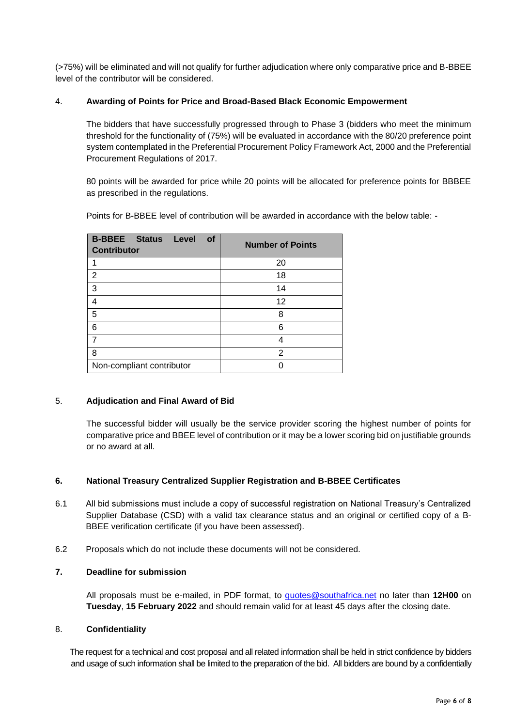(>75%) will be eliminated and will not qualify for further adjudication where only comparative price and B-BBEE level of the contributor will be considered.

# 4. **Awarding of Points for Price and Broad-Based Black Economic Empowerment**

The bidders that have successfully progressed through to Phase 3 (bidders who meet the minimum threshold for the functionality of (75%) will be evaluated in accordance with the 80/20 preference point system contemplated in the Preferential Procurement Policy Framework Act, 2000 and the Preferential Procurement Regulations of 2017.

80 points will be awarded for price while 20 points will be allocated for preference points for BBBEE as prescribed in the regulations.

Points for B-BBEE level of contribution will be awarded in accordance with the below table: -

| <b>B-BBEE Status Level</b><br>of<br><b>Contributor</b> | <b>Number of Points</b> |
|--------------------------------------------------------|-------------------------|
|                                                        | 20                      |
| $\overline{2}$                                         | 18                      |
| 3                                                      | 14                      |
| $\overline{4}$                                         | 12                      |
| 5                                                      | 8                       |
| 6                                                      | 6                       |
| 7                                                      | Δ                       |
| 8                                                      | 2                       |
| Non-compliant contributor                              |                         |

# 5. **Adjudication and Final Award of Bid**

The successful bidder will usually be the service provider scoring the highest number of points for comparative price and BBEE level of contribution or it may be a lower scoring bid on justifiable grounds or no award at all.

### **6. National Treasury Centralized Supplier Registration and B-BBEE Certificates**

- 6.1 All bid submissions must include a copy of successful registration on National Treasury's Centralized Supplier Database (CSD) with a valid tax clearance status and an original or certified copy of a B-BBEE verification certificate (if you have been assessed).
- 6.2 Proposals which do not include these documents will not be considered.

### **7. Deadline for submission**

All proposals must be e-mailed, in PDF format, to [quotes@southafrica.net](mailto:quotes@southafrica.net) no later than **12H00** on **Tuesday**, **15 February 2022** and should remain valid for at least 45 days after the closing date.

### 8. **Confidentiality**

 The request for a technical and cost proposal and all related information shall be held in strict confidence by bidders and usage of such information shall be limited to the preparation of the bid. All bidders are bound by a confidentially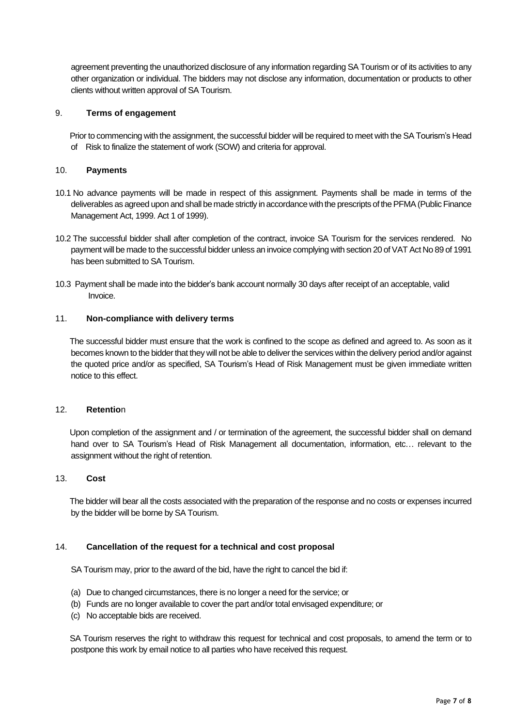agreement preventing the unauthorized disclosure of any information regarding SA Tourism or of its activities to any other organization or individual. The bidders may not disclose any information, documentation or products to other clients without written approval of SA Tourism.

#### 9. **Terms of engagement**

 Prior to commencing with the assignment, the successful bidder will be required to meet with the SA Tourism's Head of Risk to finalize the statement of work (SOW) and criteria for approval.

#### 10. **Payments**

- 10.1 No advance payments will be made in respect of this assignment. Payments shall be made in terms of the deliverables as agreed upon and shall be made strictly in accordance with the prescripts of the PFMA (Public Finance Management Act, 1999. Act 1 of 1999).
- 10.2 The successful bidder shall after completion of the contract, invoice SA Tourism for the services rendered. No payment will be made to the successful bidder unless an invoice complying with section 20 of VAT Act No 89 of 1991 has been submitted to SA Tourism.
- 10.3 Payment shall be made into the bidder's bank account normally 30 days after receipt of an acceptable, valid Invoice.

#### 11. **Non-compliance with delivery terms**

 The successful bidder must ensure that the work is confined to the scope as defined and agreed to. As soon as it becomes known to the bidder that they will not be able to deliver the services within the delivery period and/or against the quoted price and/or as specified, SA Tourism's Head of Risk Management must be given immediate written notice to this effect.

#### 12. **Retentio**n

 Upon completion of the assignment and / or termination of the agreement, the successful bidder shall on demand hand over to SA Tourism's Head of Risk Management all documentation, information, etc... relevant to the assignment without the right of retention.

#### 13. **Cost**

 The bidder will bear all the costs associated with the preparation of the response and no costs or expenses incurred by the bidder will be borne by SA Tourism.

#### 14. **Cancellation of the request for a technical and cost proposal**

SA Tourism may, prior to the award of the bid, have the right to cancel the bid if:

- (a) Due to changed circumstances, there is no longer a need for the service; or
- (b) Funds are no longer available to cover the part and/or total envisaged expenditure; or
- (c) No acceptable bids are received.

 SA Tourism reserves the right to withdraw this request for technical and cost proposals, to amend the term or to postpone this work by email notice to all parties who have received this request.